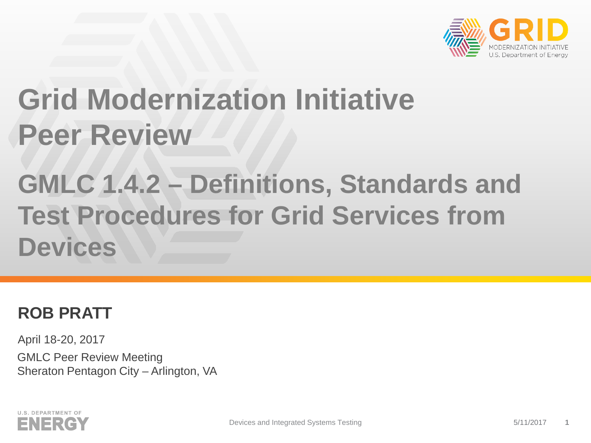

## **Grid Modernization Initiative Peer Review**

### **GMLC 1.4.2 – Definitions, Standards and Test Procedures for Grid Services from Devices**

### **ROB PRATT**

April 18-20, 2017 GMLC Peer Review Meeting Sheraton Pentagon City – Arlington, VA

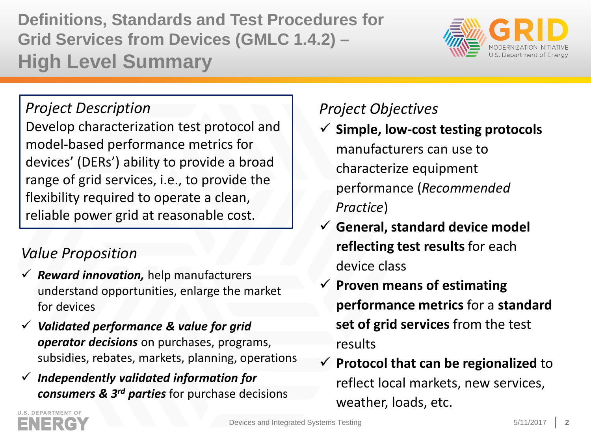**Definitions, Standards and Test Procedures for Grid Services from Devices (GMLC 1.4.2) – High Level Summary**



### *Project Description*

Develop characterization test protocol and model-based performance metrics for devices' (DERs') ability to provide a broad range of grid services, i.e., to provide the flexibility required to operate a clean, reliable power grid at reasonable cost.

### *Value Proposition*

- *Reward innovation,* help manufacturers understand opportunities, enlarge the market for devices
- *Validated performance & value for grid operator decisions* on purchases, programs, subsidies, rebates, markets, planning, operations
- *Independently validated information for consumers & 3rd parties* for purchase decisions

### *Project Objectives*

- **Simple, low-cost testing protocols**  manufacturers can use to characterize equipment performance (*Recommended Practice*)
- **General, standard device model reflecting test results** for each device class
- **Proven means of estimating performance metrics** for a **standard set of grid services** from the test results
- **Protocol that can be regionalized** to reflect local markets, new services, weather, loads, etc.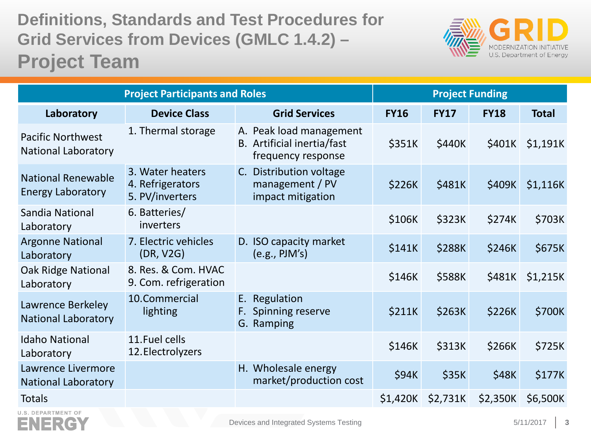### **Definitions, Standards and Test Procedures for Grid Services from Devices (GMLC 1.4.2) – Project Team**



| <b>Project Participants and Roles</b>                  |                                                         |                                                                             | <b>Project Funding</b> |                   |             |                 |
|--------------------------------------------------------|---------------------------------------------------------|-----------------------------------------------------------------------------|------------------------|-------------------|-------------|-----------------|
| Laboratory                                             | <b>Device Class</b>                                     | <b>Grid Services</b>                                                        | <b>FY16</b>            | <b>FY17</b>       | <b>FY18</b> | <b>Total</b>    |
| <b>Pacific Northwest</b><br><b>National Laboratory</b> | 1. Thermal storage                                      | A. Peak load management<br>B. Artificial inertia/fast<br>frequency response | \$351K                 | \$440K            |             | \$401K \$1,191K |
| <b>National Renewable</b><br><b>Energy Laboratory</b>  | 3. Water heaters<br>4. Refrigerators<br>5. PV/inverters | C. Distribution voltage<br>management / PV<br>impact mitigation             | \$226K                 | \$481K            | \$409K      | \$1,116K        |
| Sandia National<br>Laboratory                          | 6. Batteries/<br>inverters                              |                                                                             | \$106K                 | \$323K            | \$274K      | \$703K          |
| <b>Argonne National</b><br>Laboratory                  | 7. Electric vehicles<br>(DR, V2G)                       | D. ISO capacity market<br>$(e.g.,$ PJM's $)$                                | \$141K                 | \$288K            | \$246K      | \$675K          |
| <b>Oak Ridge National</b><br>Laboratory                | 8. Res. & Com. HVAC<br>9. Com. refrigeration            |                                                                             | \$146K                 | \$588K            | \$481K      | \$1,215K        |
| Lawrence Berkeley<br><b>National Laboratory</b>        | 10.Commercial<br>lighting                               | E. Regulation<br>F. Spinning reserve<br>G. Ramping                          | \$211K                 | \$263K            | \$226K      | \$700K          |
| <b>Idaho National</b><br>Laboratory                    | 11. Fuel cells<br>12. Electrolyzers                     |                                                                             | \$146K                 | \$313K            | \$266K      | \$725K          |
| Lawrence Livermore<br><b>National Laboratory</b>       |                                                         | H. Wholesale energy<br>market/production cost                               | \$94K                  | \$35K             | \$48K       | \$177K          |
| <b>Totals</b>                                          |                                                         |                                                                             |                        | \$1,420K \$2,731K | \$2,350K    | \$6,500K        |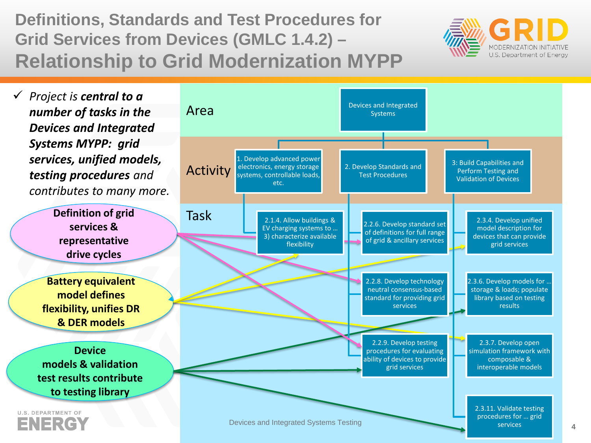**Definitions, Standards and Test Procedures for Grid Services from Devices (GMLC 1.4.2) – Relationship to Grid Modernization MYPP**



 *Project is central to a number of tasks in the Devices and Integrated Systems MYPP: grid services, unified models, testing procedures and contributes to many more.*

> **Definition of grid services & representative drive cycles**

**Battery equivalent model defines flexibility, unifies DR & DER models**

**Device models & validation test results contribute to testing library**

**U.S. DEPARTMENT OF** ENERG

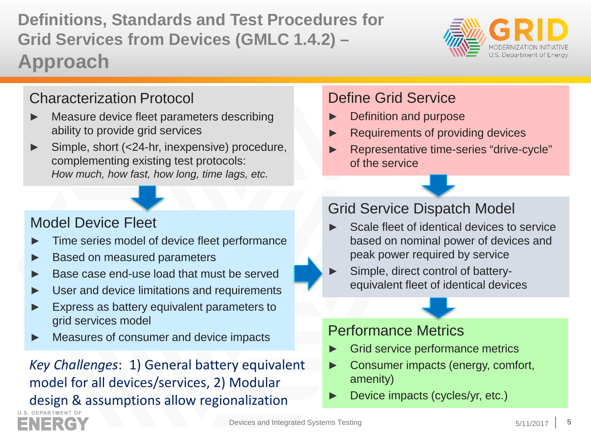model for all devices/services, 2) Modular

design & assumptions allow regionalization

*Key Challenges*: 1) General battery equivalent

### **Definitions, Standards and Test Procedures for Grid Services from Devices (GMLC 1.4.2) – Approach**

### Characterization Protocol

- Measure device fleet parameters describing ability to provide grid services
- Simple, short (<24-hr, inexpensive) procedure, complementing existing test protocols: *How much, how fast, how long, time lags, etc.*

### Model Device Fleet

- Time series model of device fleet performance
- Based on measured parameters
- Base case end-use load that must be served
- User and device limitations and requirements
- Express as battery equivalent parameters to grid services model
- Measures of consumer and device impacts

### Grid Service Dispatch Model

Define Grid Service

of the service

Definition and purpose

Scale fleet of identical devices to service based on nominal power of devices and peak power required by service

Requirements of providing devices

► Representative time-series "drive-cycle"

Simple, direct control of batteryequivalent fleet of identical devices

### Performance Metrics

- Grid service performance metrics
- Consumer impacts (energy, comfort, amenity)
- Device impacts (cycles/yr, etc.)





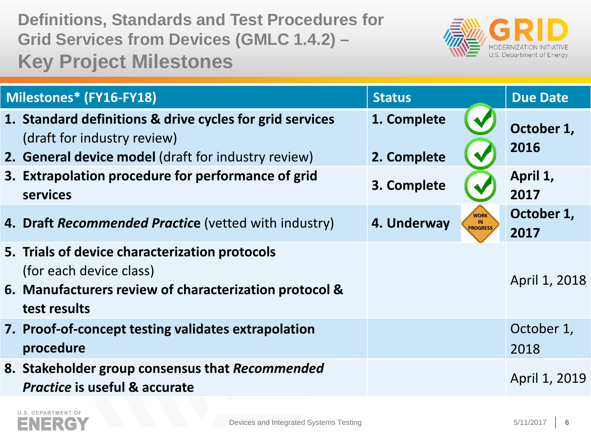**Definitions, Standards and Test Procedures for Grid Services from Devices (GMLC 1.4.2) – Key Project Milestones**



| Milestones* (FY16-FY18)                                                                                                                               | <b>Status</b>                                                   | <b>Due Date</b>    |  |
|-------------------------------------------------------------------------------------------------------------------------------------------------------|-----------------------------------------------------------------|--------------------|--|
| 1. Standard definitions & drive cycles for grid services<br>(draft for industry review)<br><b>2. General device model</b> (draft for industry review) | 1. Complete<br>2. Complete                                      | October 1,<br>2016 |  |
| 3. Extrapolation procedure for performance of grid<br>services                                                                                        | 3. Complete                                                     | April 1,<br>2017   |  |
| 4. Draft Recommended Practice (vetted with industry)                                                                                                  | <b>WORK</b><br>4. Underway<br>$\blacksquare$<br><b>PROGRESS</b> | October 1,<br>2017 |  |
| 5. Trials of device characterization protocols<br>(for each device class)<br>6. Manufacturers review of characterization protocol &<br>test results   |                                                                 | April 1, 2018      |  |
| 7. Proof-of-concept testing validates extrapolation<br>procedure                                                                                      |                                                                 | October 1,<br>2018 |  |
| 8. Stakeholder group consensus that Recommended<br><b>Practice is useful &amp; accurate</b>                                                           |                                                                 | April 1, 2019      |  |

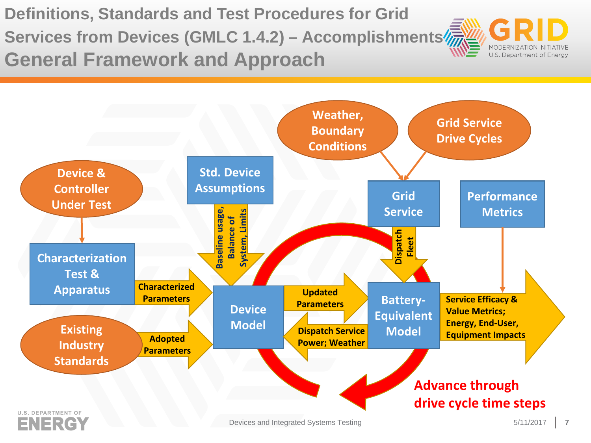**Definitions, Standards and Test Procedures for Grid Services from Devices (GMLC 1.4.2) – Accomplishments General Framework and Approach**



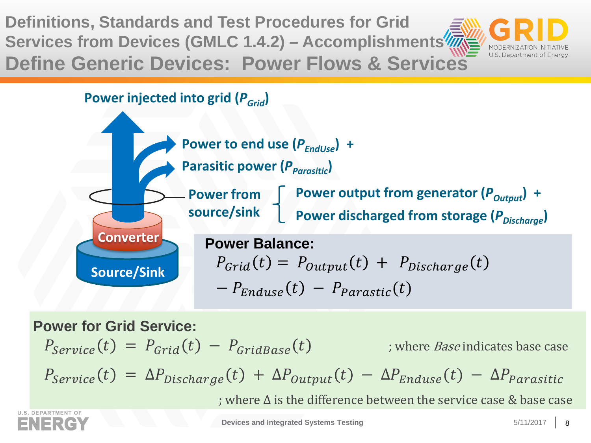**Definitions, Standards and Test Procedures for Grid Services from Devices (GMLC 1.4.2) – Accomplishments Define Generic Devices: Power Flows & Services**



**Power injected into grid (** $P_{Grid}$ **)** 



**Power for Grid Service:**

 $P_{\text{Permice}}(t) = P_{\text{Grid}}(t) - P_{\text{GridBase}}(t)$  ; where *Base* indicates base case  $P_{Service}(t) = \Delta P_{Discharge}(t) + \Delta P_{Output}(t) - \Delta P_{Enduse}(t) - \Delta P_{Parasitic}$ ; where ∆ is the difference between the service case & base case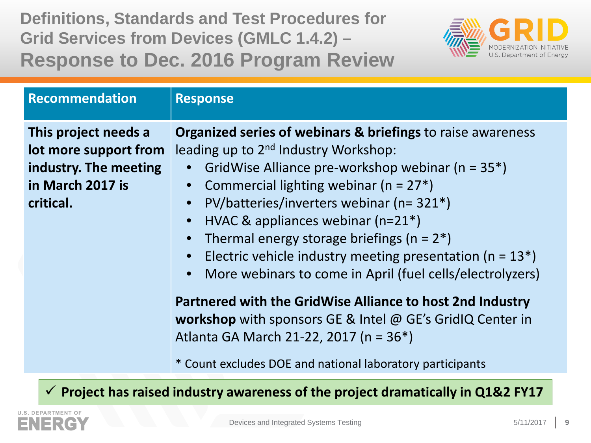**Definitions, Standards and Test Procedures for Grid Services from Devices (GMLC 1.4.2) – Response to Dec. 2016 Program Review**



| Recommendation                                                                                          | <b>Response</b>                                                                                                                                                                                                                                                                                                                                                                                                                                                                                                                                                                 |
|---------------------------------------------------------------------------------------------------------|---------------------------------------------------------------------------------------------------------------------------------------------------------------------------------------------------------------------------------------------------------------------------------------------------------------------------------------------------------------------------------------------------------------------------------------------------------------------------------------------------------------------------------------------------------------------------------|
| This project needs a<br>lot more support from<br>industry. The meeting<br>in March 2017 is<br>critical. | <b>Organized series of webinars &amp; briefings to raise awareness</b><br>leading up to 2 <sup>nd</sup> Industry Workshop:<br>GridWise Alliance pre-workshop webinar ( $n = 35$ *)<br>Commercial lighting webinar ( $n = 27$ *)<br>PV/batteries/inverters webinar (n= 321*)<br>$\bullet$<br>HVAC & appliances webinar $(n=21^*)$<br>$\bullet$<br>Thermal energy storage briefings ( $n = 2^*$ )<br>$\bullet$<br>Electric vehicle industry meeting presentation ( $n = 13$ <sup>*</sup> )<br>$\bullet$<br>More webinars to come in April (fuel cells/electrolyzers)<br>$\bullet$ |
|                                                                                                         | Partnered with the GridWise Alliance to host 2nd Industry<br>workshop with sponsors GE & Intel @ GE's GridIQ Center in<br>Atlanta GA March 21-22, 2017 (n = 36*)<br>* Count excludes DOE and national laboratory participants                                                                                                                                                                                                                                                                                                                                                   |

**Project has raised industry awareness of the project dramatically in Q1&2 FY17**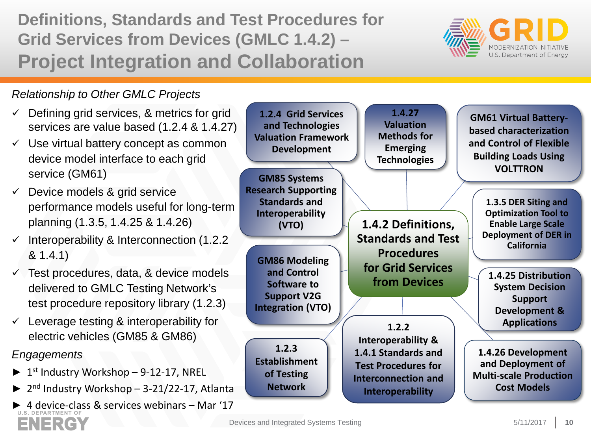**Definitions, Standards and Test Procedures for Grid Services from Devices (GMLC 1.4.2) – Project Integration and Collaboration**



#### *Relationship to Other GMLC Projects*

ENERGY

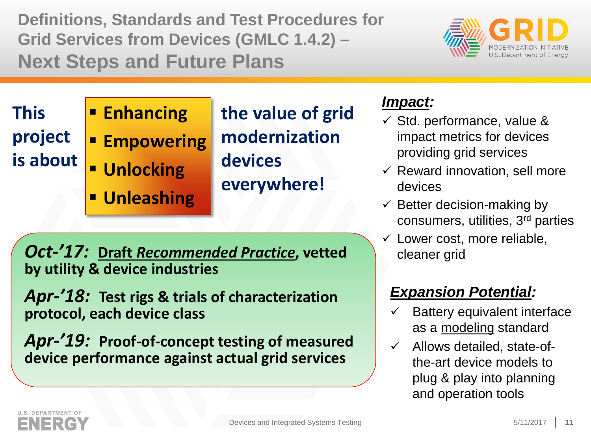**Definitions, Standards and Test Procedures for Grid Services from Devices (GMLC 1.4.2) – Next Steps and Future Plans**



**This project is about**

### **Enhancing Empowering Unlocking Unleashing**

**the value of grid modernization devices everywhere!**

*Oct-'17:* **Draft** *Recommended Practice***, vetted by utility & device industries** 

*Apr-'18:* **Test rigs & trials of characterization protocol, each device class**

*Apr-'19:* **Proof-of-concept testing of measured device performance against actual grid services**

### *Impact:*

- $\checkmark$  Std. performance, value & impact metrics for devices providing grid services
- $\checkmark$  Reward innovation, sell more devices
- $\checkmark$  Better decision-making by consumers, utilities, 3rd parties
- $\checkmark$  Lower cost, more reliable, cleaner grid

### *Expansion Potential:*

- Battery equivalent interface as a modeling standard
- $\checkmark$  Allows detailed, state-ofthe-art device models to plug & play into planning and operation tools

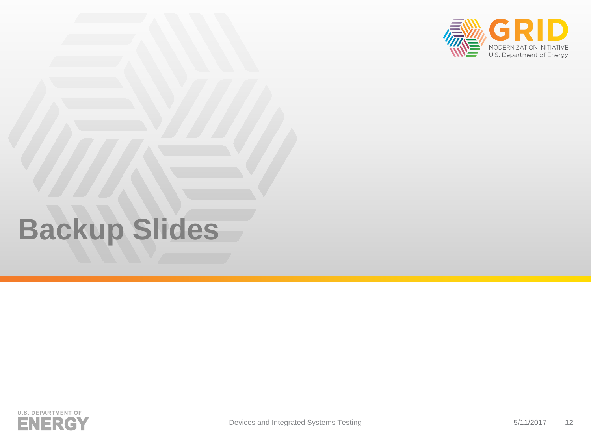

# **Backup Slides**

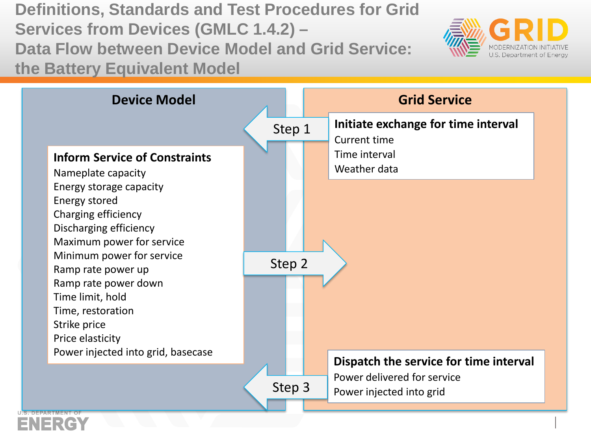**Definitions, Standards and Test Procedures for Grid Services from Devices (GMLC 1.4.2) – Data Flow between Device Model and Grid Service: the Battery Equivalent Model**

ENER



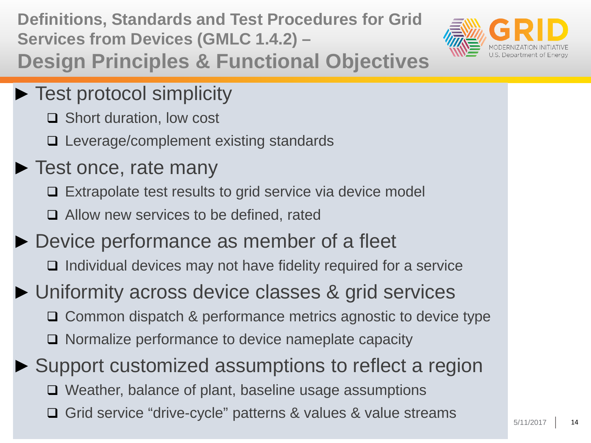**Definitions, Standards and Test Procedures for Grid Services from Devices (GMLC 1.4.2) –**



**Design Principles & Functional Objectives**

- ► Test protocol simplicity
	- **□** Short duration, low cost
	- □ Leverage/complement existing standards
- ► Test once, rate many
	- □ Extrapolate test results to grid service via device model
	- **□** Allow new services to be defined, rated
- ► Device performance as member of a fleet
	- $\Box$  Individual devices may not have fidelity required for a service
- ► Uniformity across device classes & grid services **□ Common dispatch & performance metrics agnostic to device type □** Normalize performance to device nameplate capacity

► Support customized assumptions to reflect a region □ Weather, balance of plant, baseline usage assumptions **Grid service "drive-cycle" patterns & values & value streams**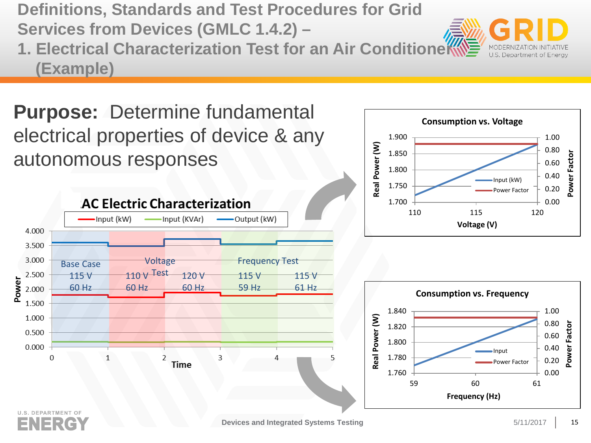**Definitions, Standards and Test Procedures for Grid Services from Devices (GMLC 1.4.2) –**

**1. Electrical Characterization Test for an Air Conditioneration (Example)** 

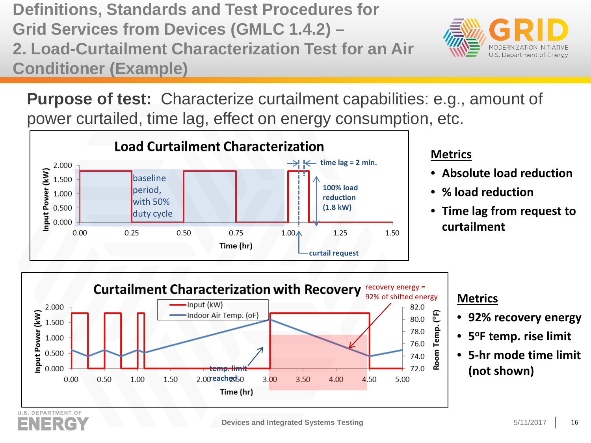**Definitions, Standards and Test Procedures for Grid Services from Devices (GMLC 1.4.2) – 2. Load-Curtailment Characterization Test for an Air Conditioner (Example)**



**Purpose of test:** Characterize curtailment capabilities: e.g., amount of power curtailed, time lag, effect on energy consumption, etc.



#### **Metrics**

- **Absolute load reduction**
- **% load reduction**
- **Time lag from request to curtailment**



#### **Metrics**

- **92% recovery energy**
- **5oF temp. rise limit**
- **5-hr mode time limit**